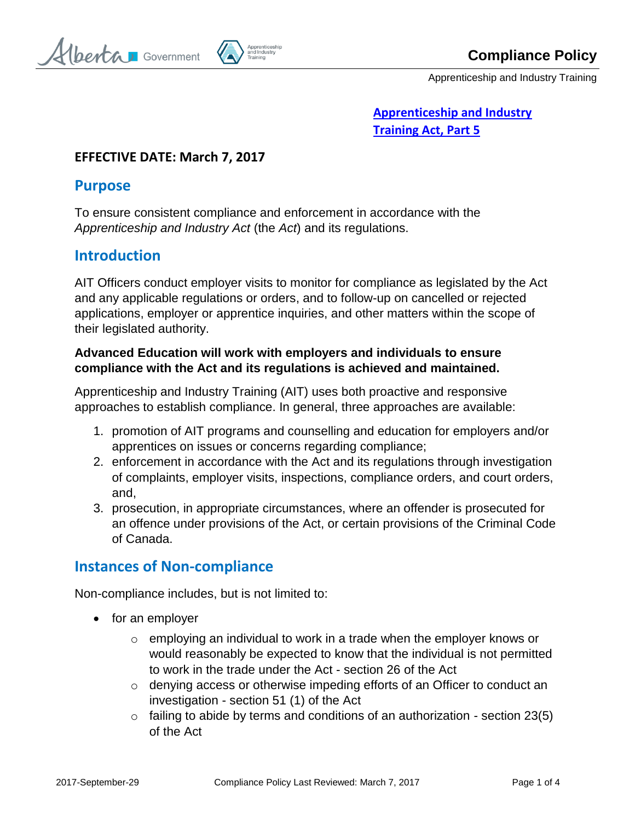berta Government



Apprenticeship and Industry Training

## **[Apprenticeship and Industry](http://www.qp.alberta.ca/1266.cfm?page=A42.cfm&leg_type=Acts&isbncln=9780779752232)  [Training Act, Part 5](http://www.qp.alberta.ca/1266.cfm?page=A42.cfm&leg_type=Acts&isbncln=9780779752232)**

#### **EFFECTIVE DATE: March 7, 2017**

### **Purpose**

To ensure consistent compliance and enforcement in accordance with the *Apprenticeship and Industry Act* (the *Act*) and its regulations.

# **Introduction**

AIT Officers conduct employer visits to monitor for compliance as legislated by the Act and any applicable regulations or orders, and to follow-up on cancelled or rejected applications, employer or apprentice inquiries, and other matters within the scope of their legislated authority.

### **Advanced Education will work with employers and individuals to ensure compliance with the Act and its regulations is achieved and maintained.**

Apprenticeship and Industry Training (AIT) uses both proactive and responsive approaches to establish compliance. In general, three approaches are available:

- 1. promotion of AIT programs and counselling and education for employers and/or apprentices on issues or concerns regarding compliance;
- 2. enforcement in accordance with the Act and its regulations through investigation of complaints, employer visits, inspections, compliance orders, and court orders, and,
- 3. prosecution, in appropriate circumstances, where an offender is prosecuted for an offence under provisions of the Act, or certain provisions of the Criminal Code of Canada.

# **Instances of Non-compliance**

Non-compliance includes, but is not limited to:

- for an employer
	- $\circ$  employing an individual to work in a trade when the employer knows or would reasonably be expected to know that the individual is not permitted to work in the trade under the Act - section 26 of the Act
	- $\circ$  denying access or otherwise impeding efforts of an Officer to conduct an investigation - section 51 (1) of the Act
	- $\circ$  failing to abide by terms and conditions of an authorization section 23(5) of the Act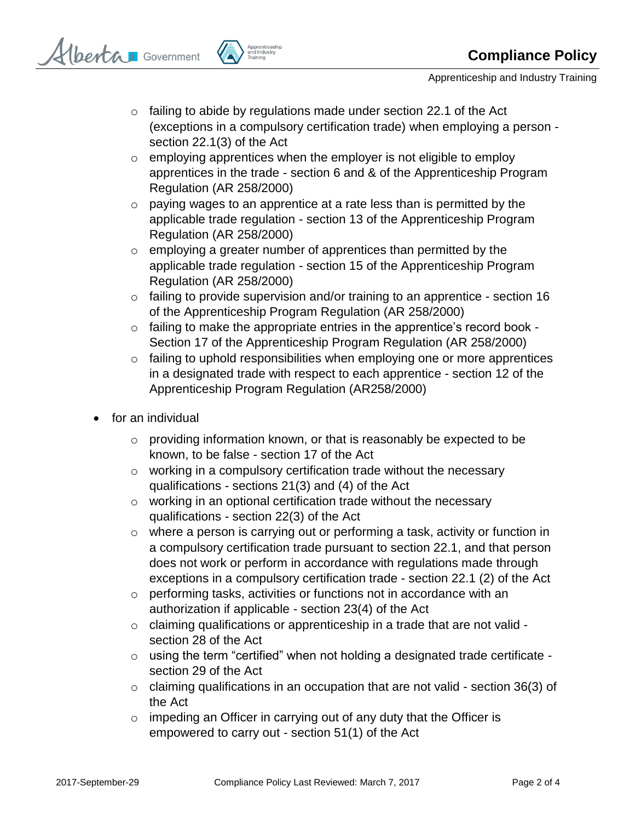

Apprenticeship and Industry Training

- $\circ$  failing to abide by regulations made under section 22.1 of the Act (exceptions in a compulsory certification trade) when employing a person section 22.1(3) of the Act
- $\circ$  employing apprentices when the employer is not eligible to employ apprentices in the trade - section 6 and & of the Apprenticeship Program Regulation (AR 258/2000)
- $\circ$  paying wages to an apprentice at a rate less than is permitted by the applicable trade regulation - section 13 of the Apprenticeship Program Regulation (AR 258/2000)
- $\circ$  employing a greater number of apprentices than permitted by the applicable trade regulation - section 15 of the Apprenticeship Program Regulation (AR 258/2000)
- o failing to provide supervision and/or training to an apprentice section 16 of the Apprenticeship Program Regulation (AR 258/2000)
- o failing to make the appropriate entries in the apprentice's record book Section 17 of the Apprenticeship Program Regulation (AR 258/2000)
- o failing to uphold responsibilities when employing one or more apprentices in a designated trade with respect to each apprentice - section 12 of the Apprenticeship Program Regulation (AR258/2000)
- for an individual
	- $\circ$  providing information known, or that is reasonably be expected to be known, to be false - section 17 of the Act
	- o working in a compulsory certification trade without the necessary qualifications - sections 21(3) and (4) of the Act
	- $\circ$  working in an optional certification trade without the necessary qualifications - section 22(3) of the Act
	- o where a person is carrying out or performing a task, activity or function in a compulsory certification trade pursuant to section 22.1, and that person does not work or perform in accordance with regulations made through exceptions in a compulsory certification trade - section 22.1 (2) of the Act
	- o performing tasks, activities or functions not in accordance with an authorization if applicable - section 23(4) of the Act
	- o claiming qualifications or apprenticeship in a trade that are not valid section 28 of the Act
	- o using the term "certified" when not holding a designated trade certificate section 29 of the Act
	- $\circ$  claiming qualifications in an occupation that are not valid section 36(3) of the Act
	- $\circ$  impeding an Officer in carrying out of any duty that the Officer is empowered to carry out - section 51(1) of the Act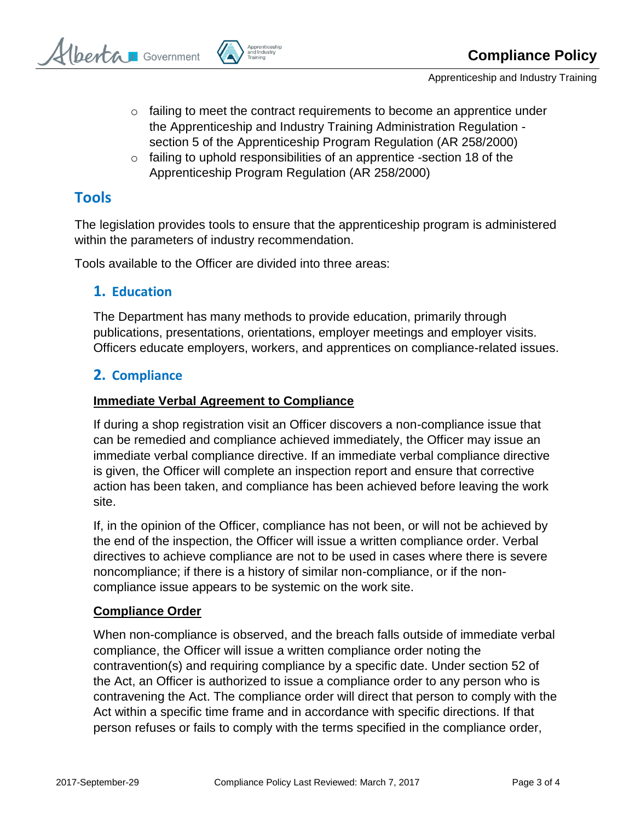berta Government



- $\circ$  failing to meet the contract requirements to become an apprentice under the Apprenticeship and Industry Training Administration Regulation section 5 of the Apprenticeship Program Regulation (AR 258/2000)
- $\circ$  failing to uphold responsibilities of an apprentice -section 18 of the Apprenticeship Program Regulation (AR 258/2000)

# **Tools**

The legislation provides tools to ensure that the apprenticeship program is administered within the parameters of industry recommendation.

Tools available to the Officer are divided into three areas:

### **1. Education**

The Department has many methods to provide education, primarily through publications, presentations, orientations, employer meetings and employer visits. Officers educate employers, workers, and apprentices on compliance-related issues.

## **2. Compliance**

#### **Immediate Verbal Agreement to Compliance**

If during a shop registration visit an Officer discovers a non-compliance issue that can be remedied and compliance achieved immediately, the Officer may issue an immediate verbal compliance directive. If an immediate verbal compliance directive is given, the Officer will complete an inspection report and ensure that corrective action has been taken, and compliance has been achieved before leaving the work site.

If, in the opinion of the Officer, compliance has not been, or will not be achieved by the end of the inspection, the Officer will issue a written compliance order. Verbal directives to achieve compliance are not to be used in cases where there is severe noncompliance; if there is a history of similar non-compliance, or if the noncompliance issue appears to be systemic on the work site.

#### **Compliance Order**

When non-compliance is observed, and the breach falls outside of immediate verbal compliance, the Officer will issue a written compliance order noting the contravention(s) and requiring compliance by a specific date. Under section 52 of the Act, an Officer is authorized to issue a compliance order to any person who is contravening the Act. The compliance order will direct that person to comply with the Act within a specific time frame and in accordance with specific directions. If that person refuses or fails to comply with the terms specified in the compliance order,